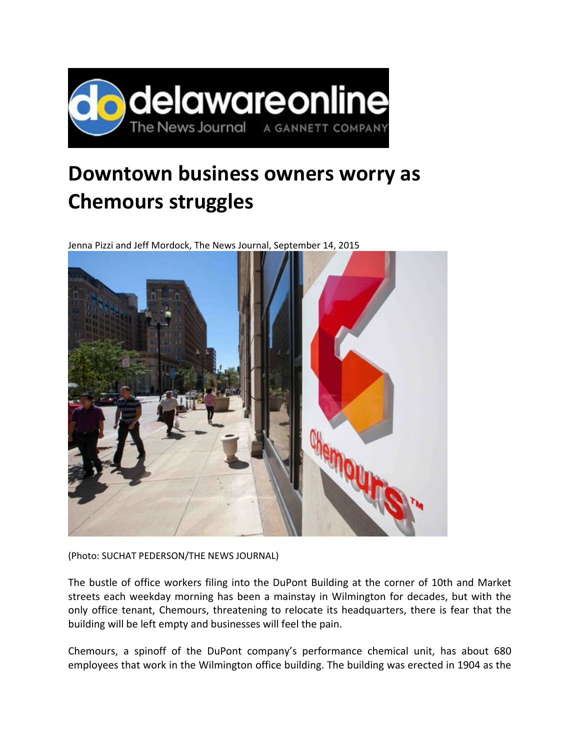

## **Downtown business owners worry as Chemours struggles**

Jenna Pizzi and Jeff Mordock, The News Journal, September 14, 2015



(Photo: SUCHAT PEDERSON/THE NEWS JOURNAL)

The bustle of office workers filing into the DuPont Building at the corner of 10th and Market streets each weekday morning has been a mainstay in Wilmington for decades, but with the only office tenant, Chemours, threatening to relocate its headquarters, there is fear that the building will be left empty and businesses will feel the pain.

Chemours, a spinoff of the DuPont company's performance chemical unit, has about 680 employees that work in the Wilmington office building. The building was erected in 1904 as the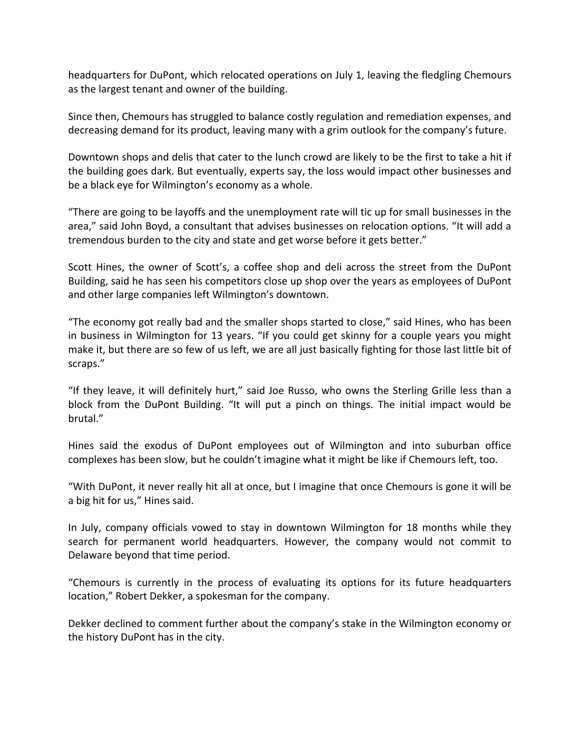headquarters for DuPont, which relocated operations on July 1, leaving the fledgling Chemours as the largest tenant and owner of the building.

Since then, Chemours has struggled to balance costly regulation and remediation expenses, and decreasing demand for its product, leaving many with a grim outlook for the company's future.

Downtown shops and delis that cater to the lunch crowd are likely to be the first to take a hit if the building goes dark. But eventually, experts say, the loss would impact other businesses and be a black eye for Wilmington's economy as a whole.

"There are going to be layoffs and the unemployment rate will tic up for small businesses in the area," said John Boyd, a consultant that advises businesses on relocation options. "It will add a tremendous burden to the city and state and get worse before it gets better."

Scott Hines, the owner of Scott's, a coffee shop and deli across the street from the DuPont Building, said he has seen his competitors close up shop over the years as employees of DuPont and other large companies left Wilmington's downtown.

"The economy got really bad and the smaller shops started to close," said Hines, who has been in business in Wilmington for 13 years. "If you could get skinny for a couple years you might make it, but there are so few of us left, we are all just basically fighting for those last little bit of scraps."

"If they leave, it will definitely hurt," said Joe Russo, who owns the Sterling Grille less than a block from the DuPont Building. "It will put a pinch on things. The initial impact would be brutal."

Hines said the exodus of DuPont employees out of Wilmington and into suburban office complexes has been slow, but he couldn't imagine what it might be like if Chemours left, too.

"With DuPont, it never really hit all at once, but I imagine that once Chemours is gone it will be a big hit for us," Hines said.

In July, company officials vowed to stay in downtown Wilmington for 18 months while they search for permanent world headquarters. However, the company would not commit to Delaware beyond that time period.

"Chemours is currently in the process of evaluating its options for its future headquarters location," Robert Dekker, a spokesman for the company.

Dekker declined to comment further about the company's stake in the Wilmington economy or the history DuPont has in the city.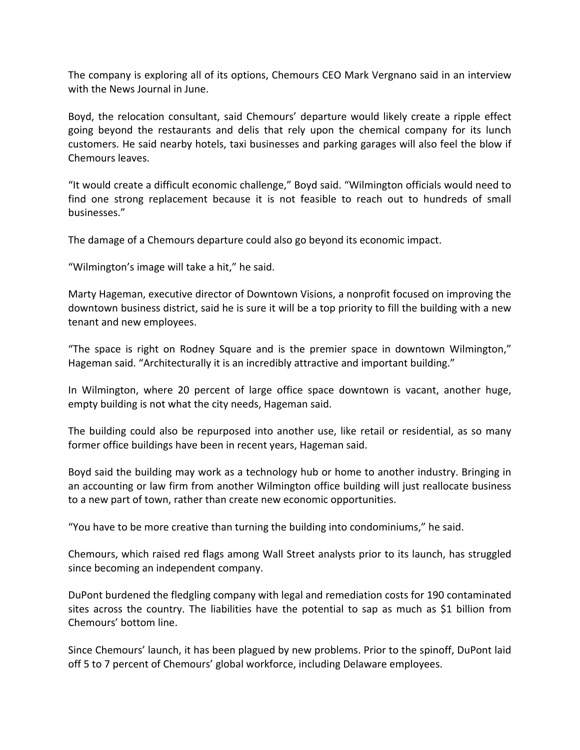The company is exploring all of its options, Chemours CEO Mark Vergnano said in an interview with the News Journal in June.

Boyd, the relocation consultant, said Chemours' departure would likely create a ripple effect going beyond the restaurants and delis that rely upon the chemical company for its lunch customers. He said nearby hotels, taxi businesses and parking garages will also feel the blow if Chemours leaves.

"It would create a difficult economic challenge," Boyd said. "Wilmington officials would need to find one strong replacement because it is not feasible to reach out to hundreds of small businesses."

The damage of a Chemours departure could also go beyond its economic impact.

"Wilmington's image will take a hit," he said.

Marty Hageman, executive director of Downtown Visions, a nonprofit focused on improving the downtown business district, said he is sure it will be a top priority to fill the building with a new tenant and new employees.

"The space is right on Rodney Square and is the premier space in downtown Wilmington," Hageman said. "Architecturally it is an incredibly attractive and important building."

In Wilmington, where 20 percent of large office space downtown is vacant, another huge, empty building is not what the city needs, Hageman said.

The building could also be repurposed into another use, like retail or residential, as so many former office buildings have been in recent years, Hageman said.

Boyd said the building may work as a technology hub or home to another industry. Bringing in an accounting or law firm from another Wilmington office building will just reallocate business to a new part of town, rather than create new economic opportunities.

"You have to be more creative than turning the building into condominiums," he said.

Chemours, which raised red flags among Wall Street analysts prior to its launch, has struggled since becoming an independent company.

DuPont burdened the fledgling company with legal and remediation costs for 190 contaminated sites across the country. The liabilities have the potential to sap as much as \$1 billion from Chemours' bottom line.

Since Chemours' launch, it has been plagued by new problems. Prior to the spinoff, DuPont laid off 5 to 7 percent of Chemours' global workforce, including Delaware employees.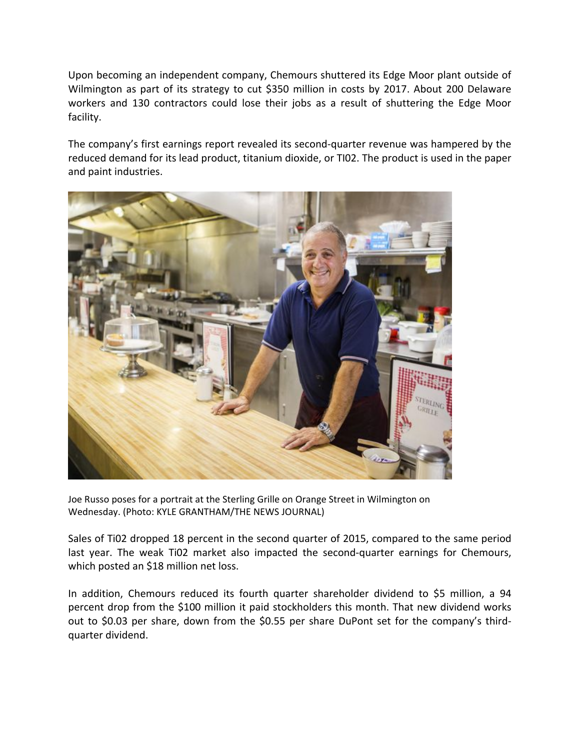Upon becoming an independent company, Chemours shuttered its Edge Moor plant outside of Wilmington as part of its strategy to cut \$350 million in costs by 2017. About 200 Delaware workers and 130 contractors could lose their jobs as a result of shuttering the Edge Moor facility.

The company's first earnings report revealed its second-quarter revenue was hampered by the reduced demand for its lead product, titanium dioxide, or TI02. The product is used in the paper and paint industries.



Joe Russo poses for a portrait at the Sterling Grille on Orange Street in Wilmington on Wednesday. (Photo: KYLE GRANTHAM/THE NEWS JOURNAL)

Sales of Ti02 dropped 18 percent in the second quarter of 2015, compared to the same period last year. The weak Ti02 market also impacted the second-quarter earnings for Chemours, which posted an \$18 million net loss.

In addition, Chemours reduced its fourth quarter shareholder dividend to \$5 million, a 94 percent drop from the \$100 million it paid stockholders this month. That new dividend works out to \$0.03 per share, down from the \$0.55 per share DuPont set for the company's third‐ quarter dividend.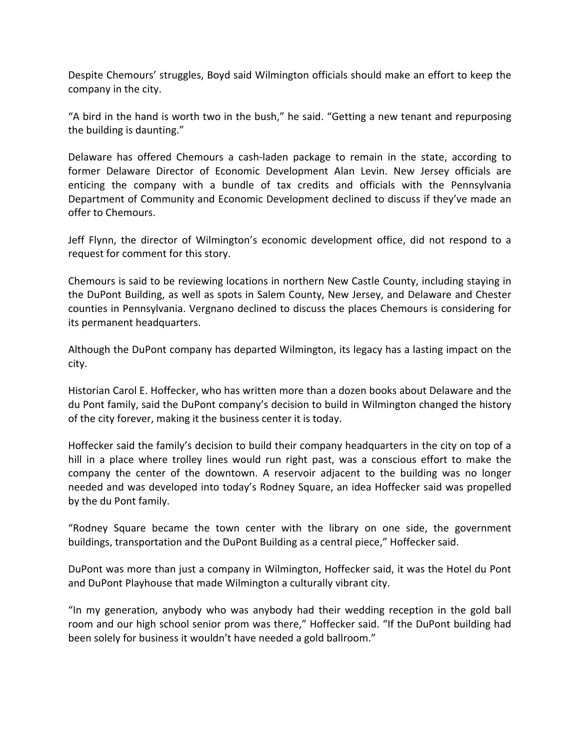Despite Chemours' struggles, Boyd said Wilmington officials should make an effort to keep the company in the city.

"A bird in the hand is worth two in the bush," he said. "Getting a new tenant and repurposing the building is daunting."

Delaware has offered Chemours a cash-laden package to remain in the state, according to former Delaware Director of Economic Development Alan Levin. New Jersey officials are enticing the company with a bundle of tax credits and officials with the Pennsylvania Department of Community and Economic Development declined to discuss if they've made an offer to Chemours.

Jeff Flynn, the director of Wilmington's economic development office, did not respond to a request for comment for this story.

Chemours is said to be reviewing locations in northern New Castle County, including staying in the DuPont Building, as well as spots in Salem County, New Jersey, and Delaware and Chester counties in Pennsylvania. Vergnano declined to discuss the places Chemours is considering for its permanent headquarters.

Although the DuPont company has departed Wilmington, its legacy has a lasting impact on the city.

Historian Carol E. Hoffecker, who has written more than a dozen books about Delaware and the du Pont family, said the DuPont company's decision to build in Wilmington changed the history of the city forever, making it the business center it is today.

Hoffecker said the family's decision to build their company headquarters in the city on top of a hill in a place where trolley lines would run right past, was a conscious effort to make the company the center of the downtown. A reservoir adjacent to the building was no longer needed and was developed into today's Rodney Square, an idea Hoffecker said was propelled by the du Pont family.

"Rodney Square became the town center with the library on one side, the government buildings, transportation and the DuPont Building as a central piece," Hoffecker said.

DuPont was more than just a company in Wilmington, Hoffecker said, it was the Hotel du Pont and DuPont Playhouse that made Wilmington a culturally vibrant city.

"In my generation, anybody who was anybody had their wedding reception in the gold ball room and our high school senior prom was there," Hoffecker said. "If the DuPont building had been solely for business it wouldn't have needed a gold ballroom."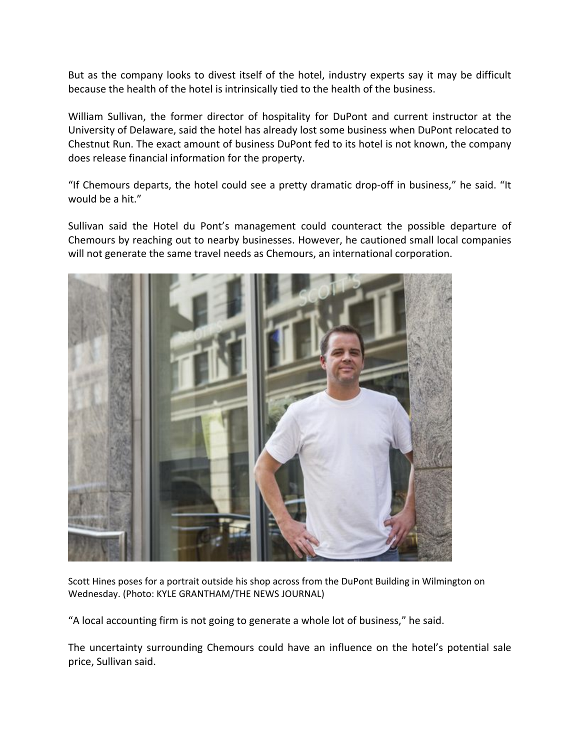But as the company looks to divest itself of the hotel, industry experts say it may be difficult because the health of the hotel is intrinsically tied to the health of the business.

William Sullivan, the former director of hospitality for DuPont and current instructor at the University of Delaware, said the hotel has already lost some business when DuPont relocated to Chestnut Run. The exact amount of business DuPont fed to its hotel is not known, the company does release financial information for the property.

"If Chemours departs, the hotel could see a pretty dramatic drop‐off in business," he said. "It would be a hit."

Sullivan said the Hotel du Pont's management could counteract the possible departure of Chemours by reaching out to nearby businesses. However, he cautioned small local companies will not generate the same travel needs as Chemours, an international corporation.



Scott Hines poses for a portrait outside his shop across from the DuPont Building in Wilmington on Wednesday. (Photo: KYLE GRANTHAM/THE NEWS JOURNAL)

"A local accounting firm is not going to generate a whole lot of business," he said.

The uncertainty surrounding Chemours could have an influence on the hotel's potential sale price, Sullivan said.